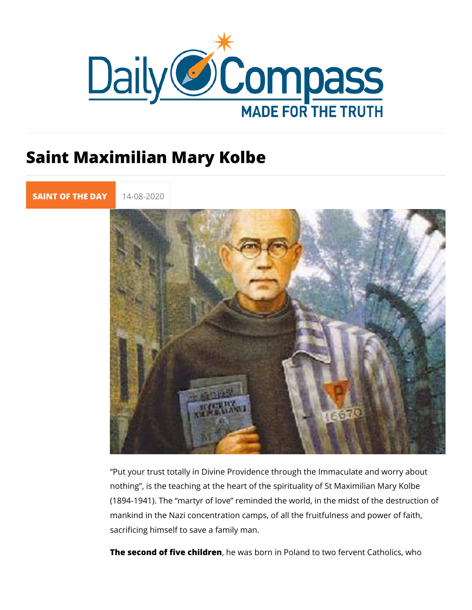## Saint Maximilian Mary Kolbe

[SAINT OF TH](https://newdailycompass.com/en/santi-del-giorno)E 14-08-2020

Put your trust totally in Divine Providence through the Immac nothing, is the teaching at the heart of the spirituality of St M (1894-1941). The martyr of love reminded the world, in the m mankind in the Nazi concentration camps, of all the fruitfulnes sacrificing himself to save a family man.

The second of five chhied wears born in Poland to two fervent Cath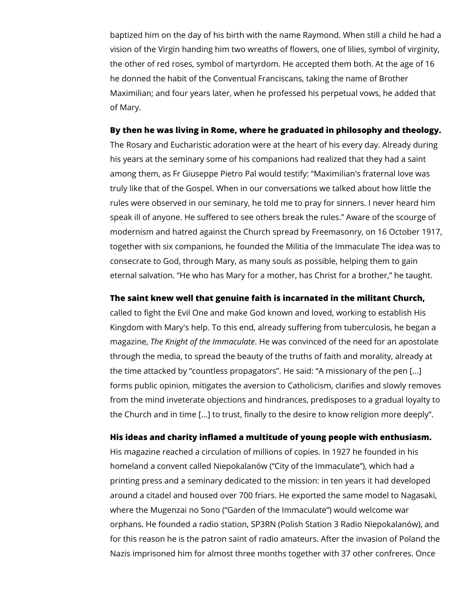baptized him on the day of his birth with the name Raymond. When still a child he had a vision of the Virgin handing him two wreaths of flowers, one of lilies, symbol of virginity, the other of red roses, symbol of martyrdom. He accepted them both. At the age of 16 he donned the habit of the Conventual Franciscans, taking the name of Brother Maximilian; and four years later, when he professed his perpetual vows, he added that of Mary.

## **By then he was living in Rome, where he graduated in philosophy and theology.**

The Rosary and Eucharistic adoration were at the heart of his every day. Already during his years at the seminary some of his companions had realized that they had a saint among them, as Fr Giuseppe Pietro Pal would testify: "Maximilian's fraternal love was truly like that of the Gospel. When in our conversations we talked about how little the rules were observed in our seminary, he told me to pray for sinners. I never heard him speak ill of anyone. He suffered to see others break the rules." Aware of the scourge of modernism and hatred against the Church spread by Freemasonry, on 16 October 1917, together with six companions, he founded the Militia of the Immaculate The idea was to consecrate to God, through Mary, as many souls as possible, helping them to gain eternal salvation. "He who has Mary for a mother, has Christ for a brother," he taught.

## **The saint knew well that genuine faith is incarnated in the militant Church,**

called to fight the Evil One and make God known and loved, working to establish His Kingdom with Mary's help. To this end, already suffering from tuberculosis, he began a magazine, *The Knight of the Immaculate*. He was convinced of the need for an apostolate through the media, to spread the beauty of the truths of faith and morality, already at the time attacked by "countless propagators". He said: "A missionary of the pen [...] forms public opinion, mitigates the aversion to Catholicism, clarifies and slowly removes from the mind inveterate objections and hindrances, predisposes to a gradual loyalty to the Church and in time [...] to trust, finally to the desire to know religion more deeply".

## **His ideas and charity inflamed a multitude of young people with enthusiasm.**

His magazine reached a circulation of millions of copies. In 1927 he founded in his homeland a convent called Niepokalanów ("City of the Immaculate"), which had a printing press and a seminary dedicated to the mission: in ten years it had developed around a citadel and housed over 700 friars. He exported the same model to Nagasaki, where the Mugenzai no Sono ("Garden of the Immaculate") would welcome war orphans. He founded a radio station, SP3RN (Polish Station 3 Radio Niepokalanów), and for this reason he is the patron saint of radio amateurs. After the invasion of Poland the Nazis imprisoned him for almost three months together with 37 other confreres. Once